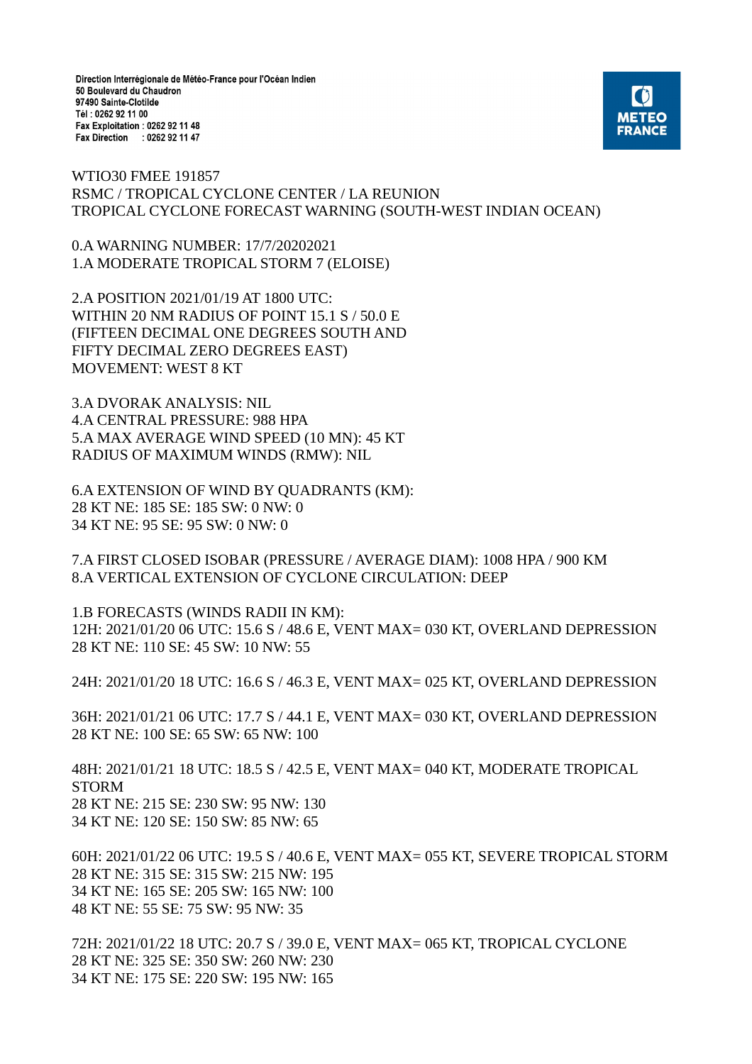Direction Interrégionale de Météo-France pour l'Océan Indien 50 Boulevard du Chaudron 97490 Sainte-Clotilde Tél: 0262 92 11 00 Fax Exploitation : 0262 92 11 48 Fax Direction : 0262 92 11 47



WTIO30 FMEE 191857 RSMC / TROPICAL CYCLONE CENTER / LA REUNION TROPICAL CYCLONE FORECAST WARNING (SOUTH-WEST INDIAN OCEAN)

0.A WARNING NUMBER: 17/7/20202021 1.A MODERATE TROPICAL STORM 7 (ELOISE)

2.A POSITION 2021/01/19 AT 1800 UTC: WITHIN 20 NM RADIUS OF POINT 15.1 S / 50.0 E (FIFTEEN DECIMAL ONE DEGREES SOUTH AND FIFTY DECIMAL ZERO DEGREES EAST) MOVEMENT: WEST 8 KT

3.A DVORAK ANALYSIS: NIL 4.A CENTRAL PRESSURE: 988 HPA 5.A MAX AVERAGE WIND SPEED (10 MN): 45 KT RADIUS OF MAXIMUM WINDS (RMW): NIL

6.A EXTENSION OF WIND BY QUADRANTS (KM): 28 KT NE: 185 SE: 185 SW: 0 NW: 0 34 KT NE: 95 SE: 95 SW: 0 NW: 0

7.A FIRST CLOSED ISOBAR (PRESSURE / AVERAGE DIAM): 1008 HPA / 900 KM 8.A VERTICAL EXTENSION OF CYCLONE CIRCULATION: DEEP

1.B FORECASTS (WINDS RADII IN KM): 12H: 2021/01/20 06 UTC: 15.6 S / 48.6 E, VENT MAX= 030 KT, OVERLAND DEPRESSION 28 KT NE: 110 SE: 45 SW: 10 NW: 55

24H: 2021/01/20 18 UTC: 16.6 S / 46.3 E, VENT MAX= 025 KT, OVERLAND DEPRESSION

36H: 2021/01/21 06 UTC: 17.7 S / 44.1 E, VENT MAX= 030 KT, OVERLAND DEPRESSION 28 KT NE: 100 SE: 65 SW: 65 NW: 100

48H: 2021/01/21 18 UTC: 18.5 S / 42.5 E, VENT MAX= 040 KT, MODERATE TROPICAL STORM 28 KT NE: 215 SE: 230 SW: 95 NW: 130 34 KT NE: 120 SE: 150 SW: 85 NW: 65

60H: 2021/01/22 06 UTC: 19.5 S / 40.6 E, VENT MAX= 055 KT, SEVERE TROPICAL STORM 28 KT NE: 315 SE: 315 SW: 215 NW: 195 34 KT NE: 165 SE: 205 SW: 165 NW: 100 48 KT NE: 55 SE: 75 SW: 95 NW: 35

72H: 2021/01/22 18 UTC: 20.7 S / 39.0 E, VENT MAX= 065 KT, TROPICAL CYCLONE 28 KT NE: 325 SE: 350 SW: 260 NW: 230 34 KT NE: 175 SE: 220 SW: 195 NW: 165